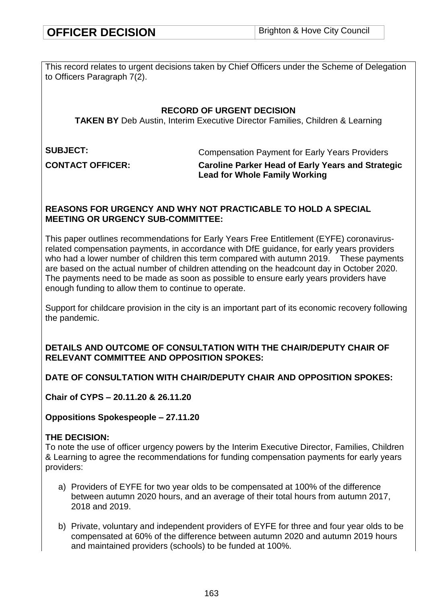This record relates to urgent decisions taken by Chief Officers under the Scheme of Delegation to Officers Paragraph 7(2).

### **RECORD OF URGENT DECISION**

**TAKEN BY** Deb Austin, Interim Executive Director Families, Children & Learning

**SUBJECT:** Compensation Payment for Early Years Providers

**CONTACT OFFICER: Caroline Parker Head of Early Years and Strategic Lead for Whole Family Working**

### **REASONS FOR URGENCY AND WHY NOT PRACTICABLE TO HOLD A SPECIAL MEETING OR URGENCY SUB-COMMITTEE:**

This paper outlines recommendations for Early Years Free Entitlement (EYFE) coronavirusrelated compensation payments, in accordance with DfE guidance, for early years providers who had a lower number of children this term compared with autumn 2019. These payments are based on the actual number of children attending on the headcount day in October 2020. The payments need to be made as soon as possible to ensure early years providers have enough funding to allow them to continue to operate.

Support for childcare provision in the city is an important part of its economic recovery following the pandemic.

### **DETAILS AND OUTCOME OF CONSULTATION WITH THE CHAIR/DEPUTY CHAIR OF RELEVANT COMMITTEE AND OPPOSITION SPOKES:**

## **DATE OF CONSULTATION WITH CHAIR/DEPUTY CHAIR AND OPPOSITION SPOKES:**

**Chair of CYPS – 20.11.20 & 26.11.20**

**Oppositions Spokespeople – 27.11.20**

### **THE DECISION:**

To note the use of officer urgency powers by the Interim Executive Director, Families, Children & Learning to agree the recommendations for funding compensation payments for early years providers:

- a) Providers of EYFE for two year olds to be compensated at 100% of the difference between autumn 2020 hours, and an average of their total hours from autumn 2017, 2018 and 2019.
- b) Private, voluntary and independent providers of EYFE for three and four year olds to be compensated at 60% of the difference between autumn 2020 and autumn 2019 hours and maintained providers (schools) to be funded at 100%.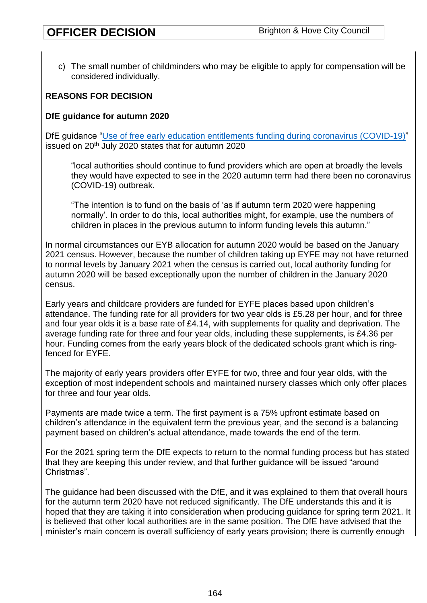c) The small number of childminders who may be eligible to apply for compensation will be considered individually.

### **REASONS FOR DECISION**

#### **DfE guidance for autumn 2020**

DfE quidance ["Use of free early education entitlements funding during coronavirus \(COVID-19\)"](https://www.gov.uk/government/publications/use-of-free-early-education-entitlements-funding-during-the-coronavirus-outbreak/use-of-free-early-education-entitlements-funding-during-coronavirus-covid-19) issued on 20<sup>th</sup> July 2020 states that for autumn 2020

"local authorities should continue to fund providers which are open at broadly the levels they would have expected to see in the 2020 autumn term had there been no coronavirus (COVID-19) outbreak.

"The intention is to fund on the basis of 'as if autumn term 2020 were happening normally'. In order to do this, local authorities might, for example, use the numbers of children in places in the previous autumn to inform funding levels this autumn."

In normal circumstances our EYB allocation for autumn 2020 would be based on the January 2021 census. However, because the number of children taking up EYFE may not have returned to normal levels by January 2021 when the census is carried out, local authority funding for autumn 2020 will be based exceptionally upon the number of children in the January 2020 census.

Early years and childcare providers are funded for EYFE places based upon children's attendance. The funding rate for all providers for two year olds is £5.28 per hour, and for three and four year olds it is a base rate of  $£4.14$ , with supplements for quality and deprivation. The average funding rate for three and four year olds, including these supplements, is £4.36 per hour. Funding comes from the early years block of the dedicated schools grant which is ringfenced for EYFE.

The majority of early years providers offer EYFE for two, three and four year olds, with the exception of most independent schools and maintained nursery classes which only offer places for three and four year olds.

Payments are made twice a term. The first payment is a 75% upfront estimate based on children's attendance in the equivalent term the previous year, and the second is a balancing payment based on children's actual attendance, made towards the end of the term.

For the 2021 spring term the DfE expects to return to the normal funding process but has stated that they are keeping this under review, and that further guidance will be issued "around Christmas".

The guidance had been discussed with the DfE, and it was explained to them that overall hours for the autumn term 2020 have not reduced significantly. The DfE understands this and it is hoped that they are taking it into consideration when producing guidance for spring term 2021. It is believed that other local authorities are in the same position. The DfE have advised that the minister's main concern is overall sufficiency of early years provision; there is currently enough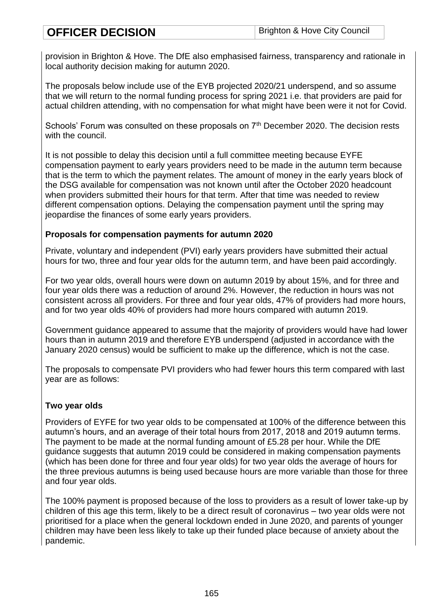provision in Brighton & Hove. The DfE also emphasised fairness, transparency and rationale in local authority decision making for autumn 2020.

The proposals below include use of the EYB projected 2020/21 underspend, and so assume that we will return to the normal funding process for spring 2021 i.e. that providers are paid for actual children attending, with no compensation for what might have been were it not for Covid.

Schools' Forum was consulted on these proposals on 7<sup>th</sup> December 2020. The decision rests with the council.

It is not possible to delay this decision until a full committee meeting because EYFE compensation payment to early years providers need to be made in the autumn term because that is the term to which the payment relates. The amount of money in the early years block of the DSG available for compensation was not known until after the October 2020 headcount when providers submitted their hours for that term. After that time was needed to review different compensation options. Delaying the compensation payment until the spring may jeopardise the finances of some early years providers.

#### **Proposals for compensation payments for autumn 2020**

Private, voluntary and independent (PVI) early years providers have submitted their actual hours for two, three and four year olds for the autumn term, and have been paid accordingly.

For two year olds, overall hours were down on autumn 2019 by about 15%, and for three and four year olds there was a reduction of around 2%. However, the reduction in hours was not consistent across all providers. For three and four year olds, 47% of providers had more hours, and for two year olds 40% of providers had more hours compared with autumn 2019.

Government guidance appeared to assume that the majority of providers would have had lower hours than in autumn 2019 and therefore EYB underspend (adjusted in accordance with the January 2020 census) would be sufficient to make up the difference, which is not the case.

The proposals to compensate PVI providers who had fewer hours this term compared with last year are as follows:

### **Two year olds**

Providers of EYFE for two year olds to be compensated at 100% of the difference between this autumn's hours, and an average of their total hours from 2017, 2018 and 2019 autumn terms. The payment to be made at the normal funding amount of £5.28 per hour. While the DfE guidance suggests that autumn 2019 could be considered in making compensation payments (which has been done for three and four year olds) for two year olds the average of hours for the three previous autumns is being used because hours are more variable than those for three and four year olds.

The 100% payment is proposed because of the loss to providers as a result of lower take-up by children of this age this term, likely to be a direct result of coronavirus – two year olds were not prioritised for a place when the general lockdown ended in June 2020, and parents of younger children may have been less likely to take up their funded place because of anxiety about the pandemic.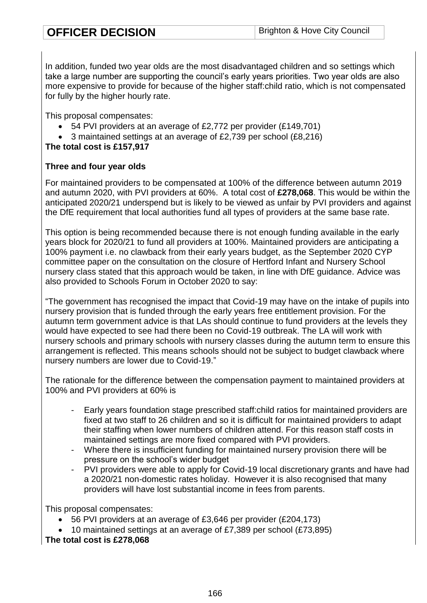In addition, funded two year olds are the most disadvantaged children and so settings which take a large number are supporting the council's early years priorities. Two year olds are also more expensive to provide for because of the higher staff:child ratio, which is not compensated for fully by the higher hourly rate.

This proposal compensates:

- 54 PVI providers at an average of £2,772 per provider (£149,701)
- 3 maintained settings at an average of £2,739 per school (£8,216)

### **The total cost is £157,917**

### **Three and four year olds**

For maintained providers to be compensated at 100% of the difference between autumn 2019 and autumn 2020, with PVI providers at 60%. A total cost of **£278,068**. This would be within the anticipated 2020/21 underspend but is likely to be viewed as unfair by PVI providers and against the DfE requirement that local authorities fund all types of providers at the same base rate.

This option is being recommended because there is not enough funding available in the early years block for 2020/21 to fund all providers at 100%. Maintained providers are anticipating a 100% payment i.e. no clawback from their early years budget, as the September 2020 CYP committee paper on the consultation on the closure of Hertford Infant and Nursery School nursery class stated that this approach would be taken, in line with DfE guidance. Advice was also provided to Schools Forum in October 2020 to say:

"The government has recognised the impact that Covid-19 may have on the intake of pupils into nursery provision that is funded through the early years free entitlement provision. For the autumn term government advice is that LAs should continue to fund providers at the levels they would have expected to see had there been no Covid-19 outbreak. The LA will work with nursery schools and primary schools with nursery classes during the autumn term to ensure this arrangement is reflected. This means schools should not be subject to budget clawback where nursery numbers are lower due to Covid-19."

The rationale for the difference between the compensation payment to maintained providers at 100% and PVI providers at 60% is

- Early years foundation stage prescribed staff: child ratios for maintained providers are fixed at two staff to 26 children and so it is difficult for maintained providers to adapt their staffing when lower numbers of children attend. For this reason staff costs in maintained settings are more fixed compared with PVI providers.
- Where there is insufficient funding for maintained nursery provision there will be pressure on the school's wider budget
- PVI providers were able to apply for Covid-19 local discretionary grants and have had a 2020/21 non-domestic rates holiday. However it is also recognised that many providers will have lost substantial income in fees from parents.

This proposal compensates:

- 56 PVI providers at an average of £3,646 per provider (£204,173)
- 10 maintained settings at an average of £7,389 per school (£73,895)

**The total cost is £278,068**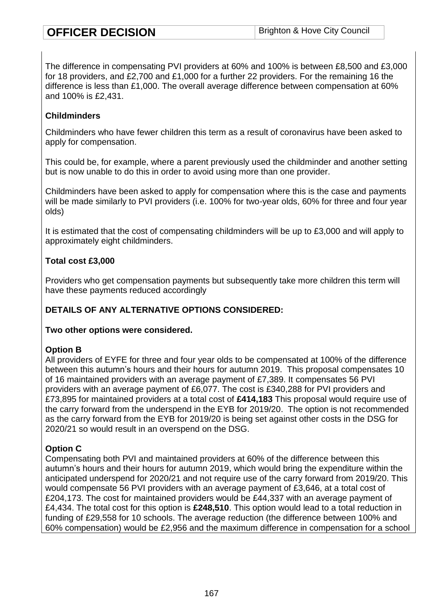The difference in compensating PVI providers at 60% and 100% is between £8,500 and £3,000 for 18 providers, and £2,700 and £1,000 for a further 22 providers. For the remaining 16 the difference is less than £1,000. The overall average difference between compensation at 60% and 100% is £2,431.

### **Childminders**

Childminders who have fewer children this term as a result of coronavirus have been asked to apply for compensation.

This could be, for example, where a parent previously used the childminder and another setting but is now unable to do this in order to avoid using more than one provider.

Childminders have been asked to apply for compensation where this is the case and payments will be made similarly to PVI providers (i.e. 100% for two-year olds, 60% for three and four year olds)

It is estimated that the cost of compensating childminders will be up to £3,000 and will apply to approximately eight childminders.

## **Total cost £3,000**

Providers who get compensation payments but subsequently take more children this term will have these payments reduced accordingly

## **DETAILS OF ANY ALTERNATIVE OPTIONS CONSIDERED:**

### **Two other options were considered.**

### **Option B**

All providers of EYFE for three and four year olds to be compensated at 100% of the difference between this autumn's hours and their hours for autumn 2019. This proposal compensates 10 of 16 maintained providers with an average payment of £7,389. It compensates 56 PVI providers with an average payment of £6,077. The cost is £340,288 for PVI providers and £73,895 for maintained providers at a total cost of **£414,183** This proposal would require use of the carry forward from the underspend in the EYB for 2019/20. The option is not recommended as the carry forward from the EYB for 2019/20 is being set against other costs in the DSG for 2020/21 so would result in an overspend on the DSG.

## **Option C**

Compensating both PVI and maintained providers at 60% of the difference between this autumn's hours and their hours for autumn 2019, which would bring the expenditure within the anticipated underspend for 2020/21 and not require use of the carry forward from 2019/20. This would compensate 56 PVI providers with an average payment of £3,646, at a total cost of £204,173. The cost for maintained providers would be £44,337 with an average payment of £4,434. The total cost for this option is **£248,510**. This option would lead to a total reduction in funding of £29,558 for 10 schools. The average reduction (the difference between 100% and 60% compensation) would be £2,956 and the maximum difference in compensation for a school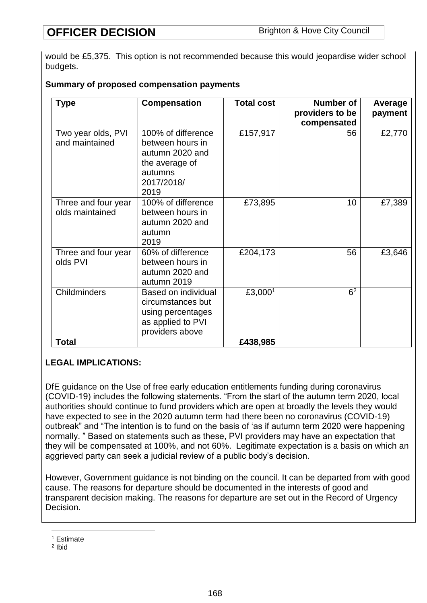would be £5,375. This option is not recommended because this would jeopardise wider school budgets.

### **Summary of proposed compensation payments**

| <b>Type</b>                            | Compensation                                                                                                 | <b>Total cost</b>   | <b>Number of</b><br>providers to be<br>compensated | Average<br>payment |
|----------------------------------------|--------------------------------------------------------------------------------------------------------------|---------------------|----------------------------------------------------|--------------------|
| Two year olds, PVI<br>and maintained   | 100% of difference<br>between hours in<br>autumn 2020 and<br>the average of<br>autumns<br>2017/2018/<br>2019 | £157,917            | 56                                                 | £2,770             |
| Three and four year<br>olds maintained | 100% of difference<br>between hours in<br>autumn 2020 and<br>autumn<br>2019                                  | £73,895             | 10                                                 | £7,389             |
| Three and four year<br>olds PVI        | 60% of difference<br>between hours in<br>autumn 2020 and<br>autumn 2019                                      | £204,173            | 56                                                 | £3,646             |
| Childminders                           | Based on individual<br>circumstances but<br>using percentages<br>as applied to PVI<br>providers above        | £3,000 <sup>1</sup> | 6 <sup>2</sup>                                     |                    |
| <b>Total</b>                           |                                                                                                              | £438,985            |                                                    |                    |

## **LEGAL IMPLICATIONS:**

DfE guidance on the Use of free early education entitlements funding during coronavirus (COVID-19) includes the following statements. "From the start of the autumn term 2020, local authorities should continue to fund providers which are open at broadly the levels they would have expected to see in the 2020 autumn term had there been no coronavirus (COVID-19) outbreak" and "The intention is to fund on the basis of 'as if autumn term 2020 were happening normally. " Based on statements such as these, PVI providers may have an expectation that they will be compensated at 100%, and not 60%. Legitimate expectation is a basis on which an aggrieved party can seek a judicial review of a public body's decision.

However, Government guidance is not binding on the council. It can be departed from with good cause. The reasons for departure should be documented in the interests of good and transparent decision making. The reasons for departure are set out in the Record of Urgency Decision.

<sup>1</sup> <sup>1</sup> Estimate

<sup>2</sup> Ibid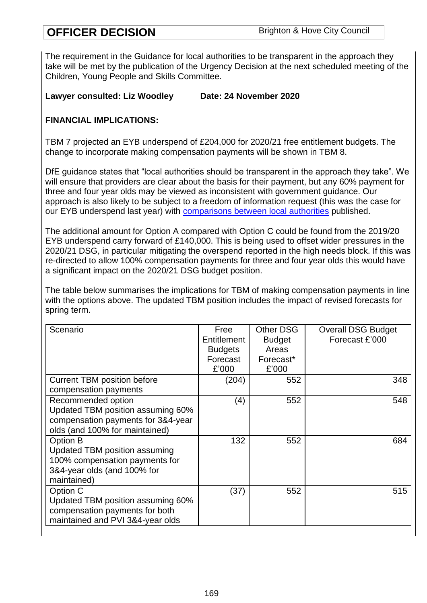The requirement in the Guidance for local authorities to be transparent in the approach they take will be met by the publication of the Urgency Decision at the next scheduled meeting of the Children, Young People and Skills Committee.

## **Lawyer consulted: Liz Woodley Date: 24 November 2020**

## **FINANCIAL IMPLICATIONS:**

TBM 7 projected an EYB underspend of £204,000 for 2020/21 free entitlement budgets. The change to incorporate making compensation payments will be shown in TBM 8.

DfE guidance states that "local authorities should be transparent in the approach they take". We will ensure that providers are clear about the basis for their payment, but any 60% payment for three and four year olds may be viewed as inconsistent with government guidance. Our approach is also likely to be subject to a freedom of information request (this was the case for our EYB underspend last year) with [comparisons between local authorities](https://www.ndna.org.uk/NDNA/News/Press_releases/2020/Millions_in_early_years_funding_not_reaching_providers_-_NDNA_investigation_reveals.aspx?fbclid=IwAR1ipVfR-pmLm9n1V_NQmHKZzz59p5gpqQZ7_IYSmXomdxpCS39ewpQnuTg) published.

The additional amount for Option A compared with Option C could be found from the 2019/20 EYB underspend carry forward of £140,000. This is being used to offset wider pressures in the 2020/21 DSG, in particular mitigating the overspend reported in the high needs block. If this was re-directed to allow 100% compensation payments for three and four year olds this would have a significant impact on the 2020/21 DSG budget position.

The table below summarises the implications for TBM of making compensation payments in line with the options above. The updated TBM position includes the impact of revised forecasts for spring term.

| Scenario                           | Free           | <b>Other DSG</b> | <b>Overall DSG Budget</b> |
|------------------------------------|----------------|------------------|---------------------------|
|                                    | Entitlement    | <b>Budget</b>    | Forecast £'000            |
|                                    | <b>Budgets</b> | Areas            |                           |
|                                    | Forecast       | Forecast*        |                           |
|                                    | £'000          | £'000            |                           |
| <b>Current TBM position before</b> | (204)          | 552              | 348                       |
| compensation payments              |                |                  |                           |
| Recommended option                 | (4)            | 552              | 548                       |
| Updated TBM position assuming 60%  |                |                  |                           |
| compensation payments for 3&4-year |                |                  |                           |
| olds (and 100% for maintained)     |                |                  |                           |
| Option B                           | 132            | 552              | 684                       |
| Updated TBM position assuming      |                |                  |                           |
| 100% compensation payments for     |                |                  |                           |
| 3&4-year olds (and 100% for        |                |                  |                           |
| maintained)                        |                |                  |                           |
| Option C                           | (37)           | 552              | 515                       |
| Updated TBM position assuming 60%  |                |                  |                           |
| compensation payments for both     |                |                  |                           |
| maintained and PVI 3&4-year olds   |                |                  |                           |